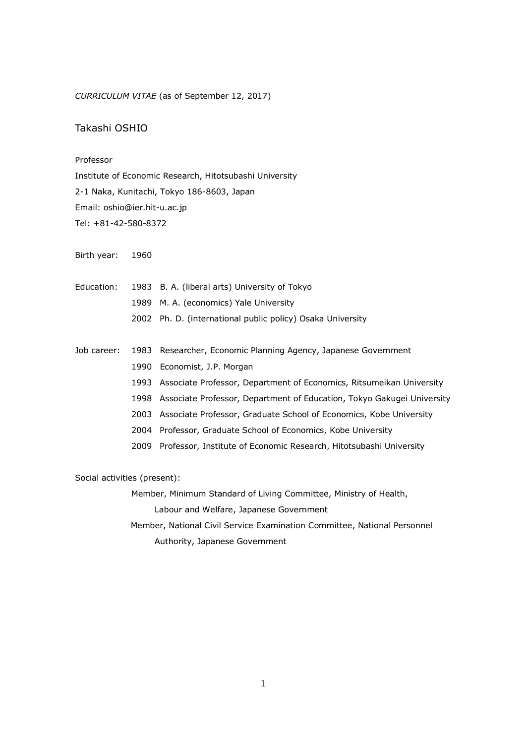*CURRICULUM VITAE* (as of September 12, 2017)

## Takashi OSHIO

## Professor

Institute of Economic Research, Hitotsubashi University 2-1 Naka, Kunitachi, Tokyo 186-8603, Japan Email: oshio@ier.hit-u.ac.jp Tel: +81-42-580-8372

Birth year: 1960

|  | Education: 1983 B. A. (liberal arts) University of Tokyo   |
|--|------------------------------------------------------------|
|  | 1989 M. A. (economics) Yale University                     |
|  | 2002 Ph. D. (international public policy) Osaka University |

Job career: 1983 Researcher, Economic Planning Agency, Japanese Government 1990 Economist, J.P. Morgan 1993 Associate Professor, Department of Economics, Ritsumeikan University 1998 Associate Professor, Department of Education, Tokyo Gakugei University 2003 Associate Professor, Graduate School of Economics, Kobe University 2004 Professor, Graduate School of Economics, Kobe University 2009 Professor, Institute of Economic Research, Hitotsubashi University

Social activities (present):

Member, Minimum Standard of Living Committee, Ministry of Health,

Labour and Welfare, Japanese Government

 Member, National Civil Service Examination Committee, National Personnel Authority, Japanese Government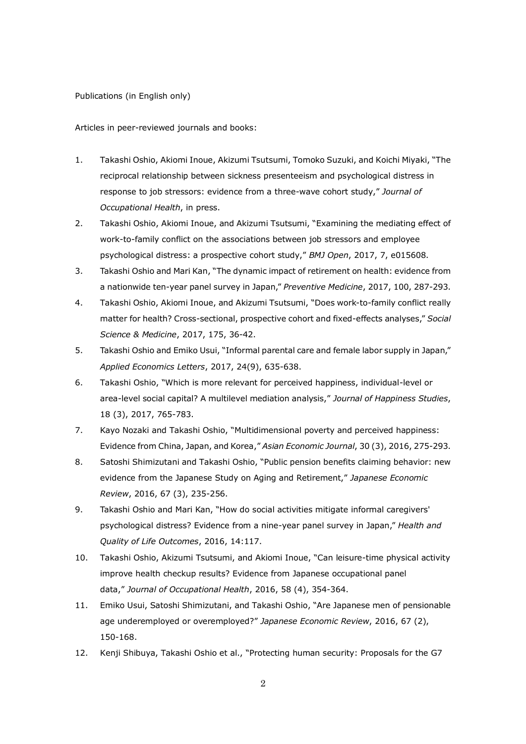Publications (in English only)

Articles in peer-reviewed journals and books:

- 1. Takashi Oshio, Akiomi Inoue, Akizumi Tsutsumi, Tomoko Suzuki, and Koichi Miyaki, "The reciprocal relationship between sickness presenteeism and psychological distress in response to job stressors: evidence from a three-wave cohort study," *Journal of Occupational Health*, in press.
- 2. Takashi Oshio, Akiomi Inoue, and Akizumi Tsutsumi, "Examining the mediating effect of work-to-family conflict on the associations between job stressors and employee psychological distress: a prospective cohort study," *BMJ Open*, 2017, 7, e015608.
- 3. Takashi Oshio and Mari Kan, "The dynamic impact of retirement on health: evidence from a nationwide ten-year panel survey in Japan," *Preventive Medicine*, 2017, 100, 287-293.
- 4. Takashi Oshio, Akiomi Inoue, and Akizumi Tsutsumi, "Does work-to-family conflict really matter for health? Cross-sectional, prospective cohort and fixed-effects analyses," *Social Science & Medicine*, 2017, 175, 36-42.
- 5. Takashi Oshio and Emiko Usui, "Informal parental care and female labor supply in Japan," *Applied Economics Letters*, 2017, 24(9), 635-638.
- 6. Takashi Oshio, "Which is more relevant for perceived happiness, individual-level or area-level social capital? A multilevel mediation analysis," *Journal of Happiness Studies*, 18 (3), 2017, 765-783.
- 7. Kayo Nozaki and Takashi Oshio, "Multidimensional poverty and perceived happiness: Evidence from China, Japan, and Korea," *Asian Economic Journal*, 30 (3), 2016, 275-293.
- 8. Satoshi Shimizutani and Takashi Oshio, "Public pension benefits claiming behavior: new evidence from the Japanese Study on Aging and Retirement," *Japanese Economic Review*, 2016, 67 (3), 235-256.
- 9. Takashi Oshio and Mari Kan, "How do social activities mitigate informal caregivers' psychological distress? Evidence from a nine-year panel survey in Japan," *Health and Quality of Life Outcomes*, 2016, 14:117.
- 10. Takashi Oshio, Akizumi Tsutsumi, and Akiomi Inoue, "Can leisure-time physical activity improve health checkup results? Evidence from Japanese occupational panel data," *Journal of Occupational Health*, 2016, 58 (4), 354-364.
- 11. Emiko Usui, Satoshi Shimizutani, and Takashi Oshio, "Are Japanese men of pensionable age underemployed or overemployed?" *Japanese Economic Review*, 2016, 67 (2), 150-168.
- 12. Kenji Shibuya, Takashi Oshio et al., "Protecting human security: Proposals for the G7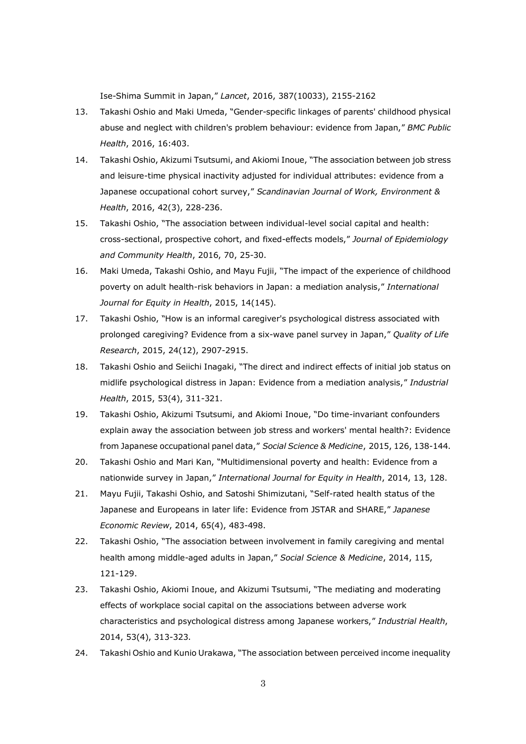Ise-Shima Summit in Japan," *Lancet*, 2016, 387(10033), 2155-2162

- 13. Takashi Oshio and Maki Umeda, "Gender-specific linkages of parents' childhood physical abuse and neglect with children's problem behaviour: evidence from Japan," *BMC Public Health*, 2016, 16:403.
- 14. Takashi Oshio, Akizumi Tsutsumi, and Akiomi Inoue, "The association between job stress and leisure-time physical inactivity adjusted for individual attributes: evidence from a Japanese occupational cohort survey," *Scandinavian Journal of Work, Environment & Health*, 2016, 42(3), 228-236.
- 15. Takashi Oshio, "The association between individual-level social capital and health: cross-sectional, prospective cohort, and fixed-effects models," *Journal of Epidemiology and Community Health*, 2016, 70, 25-30.
- 16. Maki Umeda, Takashi Oshio, and Mayu Fujii, "The impact of the experience of childhood poverty on adult health-risk behaviors in Japan: a mediation analysis," *International Journal for Equity in Health*, 2015, 14(145).
- 17. Takashi Oshio, "How is an informal caregiver's psychological distress associated with prolonged caregiving? Evidence from a six-wave panel survey in Japan," *Quality of Life Research*, 2015, 24(12), 2907-2915.
- 18. Takashi Oshio and Seiichi Inagaki, "The direct and indirect effects of initial job status on midlife psychological distress in Japan: Evidence from a mediation analysis," *Industrial Health*, 2015, 53(4), 311-321.
- 19. Takashi Oshio, Akizumi Tsutsumi, and Akiomi Inoue, "Do time-invariant confounders explain away the association between job stress and workers' mental health?: Evidence from Japanese occupational panel data," *Social Science & Medicine*, 2015, 126, 138-144.
- 20. Takashi Oshio and Mari Kan, "Multidimensional poverty and health: Evidence from a nationwide survey in Japan," *International Journal for Equity in Health*, 2014, 13, 128.
- 21. Mayu Fujii, Takashi Oshio, and Satoshi Shimizutani, "Self-rated health status of the Japanese and Europeans in later life: Evidence from JSTAR and SHARE," *Japanese Economic Review*, 2014, 65(4), 483-498.
- 22. Takashi Oshio, "The association between involvement in family caregiving and mental health among middle-aged adults in Japan," *Social Science & Medicine*, 2014, 115, 121-129.
- 23. Takashi Oshio, Akiomi Inoue, and Akizumi Tsutsumi, "The mediating and moderating effects of workplace social capital on the associations between adverse work characteristics and psychological distress among Japanese workers," *Industrial Health*, 2014, 53(4), 313-323.
- 24. Takashi Oshio and Kunio Urakawa, "The association between perceived income inequality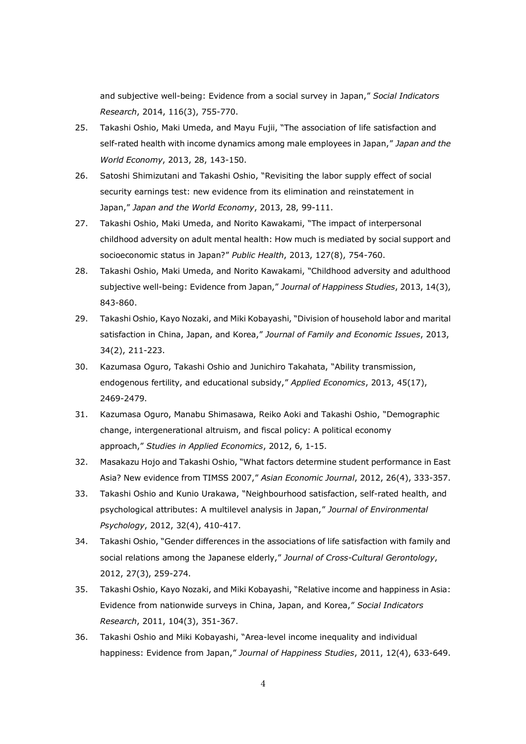and subjective well-being: Evidence from a social survey in Japan," *Social Indicators Research*, 2014, 116(3), 755-770.

- 25. Takashi Oshio, Maki Umeda, and Mayu Fujii, "The association of life satisfaction and self-rated health with income dynamics among male employees in Japan," *Japan and the World Economy*, 2013, 28, 143-150.
- 26. Satoshi Shimizutani and Takashi Oshio, "Revisiting the labor supply effect of social security earnings test: new evidence from its elimination and reinstatement in Japan," *Japan and the World Economy*, 2013, 28, 99-111.
- 27. Takashi Oshio, Maki Umeda, and Norito Kawakami, "The impact of interpersonal childhood adversity on adult mental health: How much is mediated by social support and socioeconomic status in Japan?" *Public Health*, 2013, 127(8), 754-760.
- 28. Takashi Oshio, Maki Umeda, and Norito Kawakami, "Childhood adversity and adulthood subjective well-being: Evidence from Japan," *Journal of Happiness Studies*, 2013, 14(3), 843-860.
- 29. Takashi Oshio, Kayo Nozaki, and Miki Kobayashi, "Division of household labor and marital satisfaction in China, Japan, and Korea," *Journal of Family and Economic Issues*, 2013, 34(2), 211-223.
- 30. Kazumasa Oguro, Takashi Oshio and Junichiro Takahata, "Ability transmission, endogenous fertility, and educational subsidy," *Applied Economics*, 2013, 45(17), 2469-2479.
- 31. Kazumasa Oguro, Manabu Shimasawa, Reiko Aoki and Takashi Oshio, "Demographic change, intergenerational altruism, and fiscal policy: A political economy approach," *Studies in Applied Economics*, 2012, 6, 1-15.
- 32. Masakazu Hojo and Takashi Oshio, "What factors determine student performance in East Asia? New evidence from TIMSS 2007," *Asian Economic Journal*, 2012, 26(4), 333-357.
- 33. Takashi Oshio and Kunio Urakawa, "Neighbourhood satisfaction, self-rated health, and psychological attributes: A multilevel analysis in Japan," *Journal of Environmental Psychology*, 2012, 32(4), 410-417.
- 34. Takashi Oshio, "Gender differences in the associations of life satisfaction with family and social relations among the Japanese elderly," *Journal of Cross-Cultural Gerontology*, 2012, 27(3), 259-274.
- 35. Takashi Oshio, Kayo Nozaki, and Miki Kobayashi, "Relative income and happiness in Asia: Evidence from nationwide surveys in China, Japan, and Korea," *Social Indicators Research*, 2011, 104(3), 351-367.
- 36. Takashi Oshio and Miki Kobayashi, "Area-level income inequality and individual happiness: Evidence from Japan," *Journal of Happiness Studies*, 2011, 12(4), 633-649.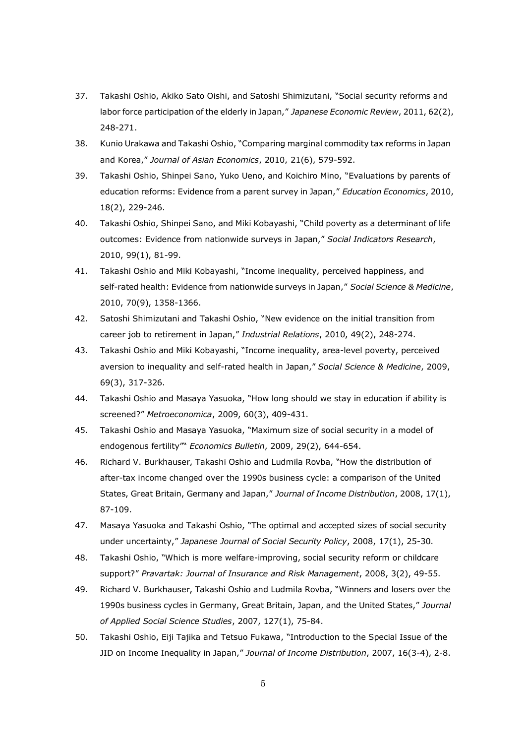- 37. Takashi Oshio, Akiko Sato Oishi, and Satoshi Shimizutani, "Social security reforms and labor force participation of the elderly in Japan," *Japanese Economic Review*, 2011, 62(2), 248-271.
- 38. Kunio Urakawa and Takashi Oshio, "Comparing marginal commodity tax reforms in Japan and Korea," *Journal of Asian Economics*, 2010, 21(6), 579-592.
- 39. Takashi Oshio, Shinpei Sano, Yuko Ueno, and Koichiro Mino, "Evaluations by parents of education reforms: Evidence from a parent survey in Japan," *Education Economics*, 2010, 18(2), 229-246.
- 40. Takashi Oshio, Shinpei Sano, and Miki Kobayashi, "Child poverty as a determinant of life outcomes: Evidence from nationwide surveys in Japan," *Social Indicators Research*, 2010, 99(1), 81-99.
- 41. Takashi Oshio and Miki Kobayashi, "Income inequality, perceived happiness, and self-rated health: Evidence from nationwide surveys in Japan," *Social Science & Medicine*, 2010, 70(9), 1358-1366.
- 42. Satoshi Shimizutani and Takashi Oshio, "New evidence on the initial transition from career job to retirement in Japan," *Industrial Relations*, 2010, 49(2), 248-274.
- 43. Takashi Oshio and Miki Kobayashi, "Income inequality, area-level poverty, perceived aversion to inequality and self-rated health in Japan," *Social Science & Medicine*, 2009, 69(3), 317-326.
- 44. Takashi Oshio and Masaya Yasuoka, "How long should we stay in education if ability is screened?" *Metroeconomica*, 2009, 60(3), 409-431.
- 45. Takashi Oshio and Masaya Yasuoka, "Maximum size of social security in a model of endogenous fertility"" *Economics Bulletin*, 2009, 29(2), 644-654.
- 46. Richard V. Burkhauser, Takashi Oshio and Ludmila Rovba, "How the distribution of after-tax income changed over the 1990s business cycle: a comparison of the United States, Great Britain, Germany and Japan," *Journal of Income Distribution*, 2008, 17(1), 87-109.
- 47. Masaya Yasuoka and Takashi Oshio, "The optimal and accepted sizes of social security under uncertainty," *Japanese Journal of Social Security Policy*, 2008, 17(1), 25-30.
- 48. Takashi Oshio, "Which is more welfare-improving, social security reform or childcare support?" *Pravartak: Journal of Insurance and Risk Management*, 2008, 3(2), 49-55.
- 49. Richard V. Burkhauser, Takashi Oshio and Ludmila Rovba, "Winners and losers over the 1990s business cycles in Germany, Great Britain, Japan, and the United States," *Journal of Applied Social Science Studies*, 2007, 127(1), 75-84.
- 50. Takashi Oshio, Eiji Tajika and Tetsuo Fukawa, "Introduction to the Special Issue of the JID on Income Inequality in Japan," *Journal of Income Distribution*, 2007, 16(3-4), 2-8.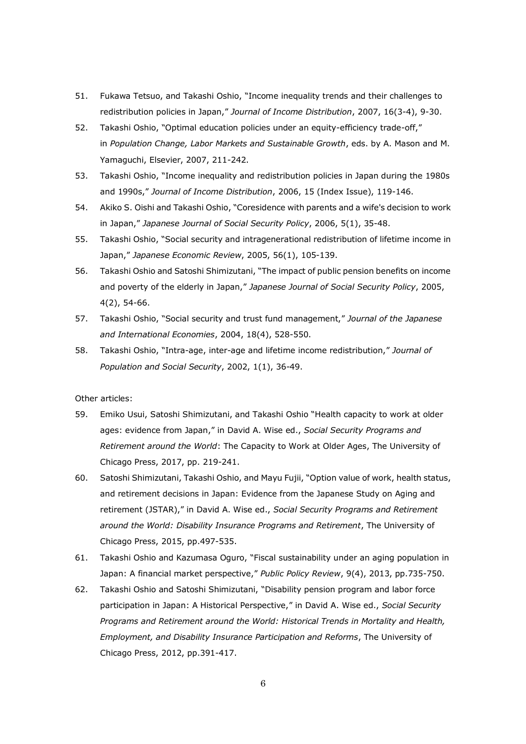- 51. Fukawa Tetsuo, and Takashi Oshio, "Income inequality trends and their challenges to redistribution policies in Japan," *Journal of Income Distribution*, 2007, 16(3-4), 9-30.
- 52. Takashi Oshio, "Optimal education policies under an equity-efficiency trade-off," in *Population Change, Labor Markets and Sustainable Growth*, eds. by A. Mason and M. Yamaguchi, Elsevier, 2007, 211-242.
- 53. Takashi Oshio, "Income inequality and redistribution policies in Japan during the 1980s and 1990s," *Journal of Income Distribution*, 2006, 15 (Index Issue), 119-146.
- 54. Akiko S. Oishi and Takashi Oshio, "Coresidence with parents and a wife's decision to work in Japan," *Japanese Journal of Social Security Policy*, 2006, 5(1), 35-48.
- 55. Takashi Oshio, "Social security and intragenerational redistribution of lifetime income in Japan," *Japanese Economic Review*, 2005, 56(1), 105-139.
- 56. Takashi Oshio and Satoshi Shimizutani, "The impact of public pension benefits on income and poverty of the elderly in Japan," *Japanese Journal of Social Security Policy*, 2005, 4(2), 54-66.
- 57. Takashi Oshio, "Social security and trust fund management," *Journal of the Japanese and International Economies*, 2004, 18(4), 528-550.
- 58. Takashi Oshio, "Intra-age, inter-age and lifetime income redistribution," *Journal of Population and Social Security*, 2002, 1(1), 36-49.

Other articles:

- 59. Emiko Usui, Satoshi Shimizutani, and Takashi Oshio "Health capacity to work at older ages: evidence from Japan," in David A. Wise ed., *Social Security Programs and Retirement around the World*: The Capacity to Work at Older Ages, The University of Chicago Press, 2017, pp. 219-241.
- 60. Satoshi Shimizutani, Takashi Oshio, and Mayu Fujii, "Option value of work, health status, and retirement decisions in Japan: Evidence from the Japanese Study on Aging and retirement (JSTAR)," in David A. Wise ed., *Social Security Programs and Retirement around the World: Disability Insurance Programs and Retirement*, The University of Chicago Press, 2015, pp.497-535.
- 61. Takashi Oshio and Kazumasa Oguro, "Fiscal sustainability under an aging population in Japan: A financial market perspective," *Public Policy Review*, 9(4), 2013, pp.735-750.
- 62. Takashi Oshio and Satoshi Shimizutani, "Disability pension program and labor force participation in Japan: A Historical Perspective," in David A. Wise ed., *Social Security Programs and Retirement around the World: Historical Trends in Mortality and Health, Employment, and Disability Insurance Participation and Reforms*, The University of Chicago Press, 2012, pp.391-417.